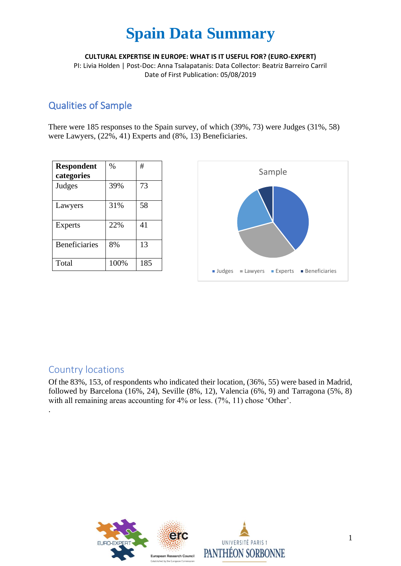**CULTURAL EXPERTISE IN EUROPE: WHAT IS IT USEFUL FOR? (EURO-EXPERT)**

PI: Livia Holden | Post-Doc: Anna Tsalapatanis: Data Collector: Beatriz Barreiro Carril Date of First Publication: 05/08/2019

### Qualities of Sample

There were 185 responses to the Spain survey, of which (39%, 73) were Judges (31%, 58) were Lawyers, (22%, 41) Experts and (8%, 13) Beneficiaries.

| <b>Respondent</b><br>categories | $\%$ | #   |
|---------------------------------|------|-----|
| Judges                          | 39%  | 73  |
| Lawyers                         | 31%  | 58  |
| <b>Experts</b>                  | 22%  | 41  |
| <b>Beneficiaries</b>            | 8%   | 13  |
| Total                           | 100% | 185 |



### Country locations

.

Of the 83%, 153, of respondents who indicated their location, (36%, 55) were based in Madrid, followed by Barcelona (16%, 24), Seville (8%, 12), Valencia (6%, 9) and Tarragona (5%, 8) with all remaining areas accounting for 4% or less. (7%, 11) chose 'Other'.

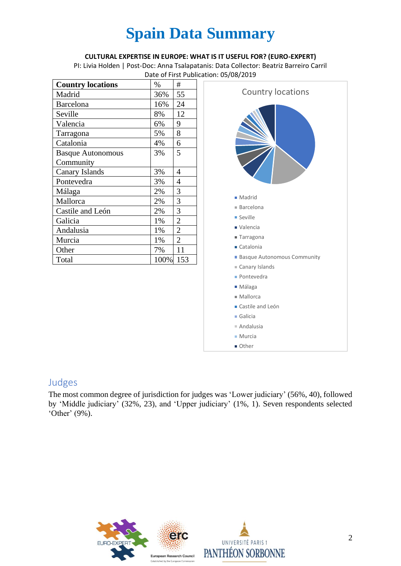#### **CULTURAL EXPERTISE IN EUROPE: WHAT IS IT USEFUL FOR? (EURO-EXPERT)**

PI: Livia Holden | Post-Doc: Anna Tsalapatanis: Data Collector: Beatriz Barreiro Carril Date of First Publication: 05/08/2019

| <b>Country locations</b> | $\%$ | #              |
|--------------------------|------|----------------|
| Madrid                   | 36%  | 55             |
| Barcelona                | 16%  | 24             |
| Seville                  | 8%   | 12             |
| Valencia                 | 6%   | 9              |
| Tarragona                | 5%   | 8              |
| Catalonia                | 4%   | 6              |
| <b>Basque Autonomous</b> | 3%   | 5              |
| Community                |      |                |
| <b>Canary Islands</b>    | 3%   | 4              |
| Pontevedra               | 3%   | 4              |
| Málaga                   | 2%   | 3              |
| Mallorca                 | 2%   | 3              |
| Castile and León         | 2%   | 3              |
| Galicia                  | 1%   | $\overline{2}$ |
| Andalusia                | 1%   | $\overline{2}$ |
| Murcia                   | 1%   | $\overline{2}$ |
| Other                    | 7%   | 11             |
| Total                    | 100% | 153            |



### Judges

The most common degree of jurisdiction for judges was 'Lower judiciary' (56%, 40), followed by 'Middle judiciary' (32%, 23), and 'Upper judiciary' (1%, 1). Seven respondents selected 'Other' (9%).

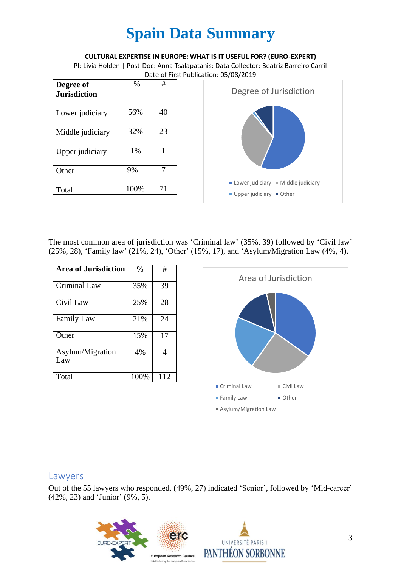#### **CULTURAL EXPERTISE IN EUROPE: WHAT IS IT USEFUL FOR? (EURO-EXPERT)**

PI: Livia Holden | Post-Doc: Anna Tsalapatanis: Data Collector: Beatriz Barreiro Carril Date of First Publication: 05/08/2019

| Degree of<br><b>Jurisdiction</b> | $\%$ | #  |
|----------------------------------|------|----|
| Lower judiciary                  | 56%  | 40 |
| Middle judiciary                 | 32%  | 23 |
| Upper judiciary                  | 1%   |    |
| Other                            | 9%   |    |
| Total                            | 100% | 71 |



The most common area of jurisdiction was 'Criminal law' (35%, 39) followed by 'Civil law' (25%, 28), 'Family law' (21%, 24), 'Other' (15%, 17), and 'Asylum/Migration Law (4%, 4).

| <b>Area of Jurisdiction</b> | $\%$ | #   |
|-----------------------------|------|-----|
| <b>Criminal Law</b>         | 35%  | 39  |
| Civil Law                   | 25%  | 28  |
| <b>Family Law</b>           | 21%  | 24  |
| Other                       | 15%  | 17  |
| Asylum/Migration<br>Law     | 4%   | 4   |
| Total                       | 100% | 112 |



### Lawyers

Out of the 55 lawyers who responded, (49%, 27) indicated 'Senior', followed by 'Mid-career' (42%, 23) and 'Junior' (9%, 5).

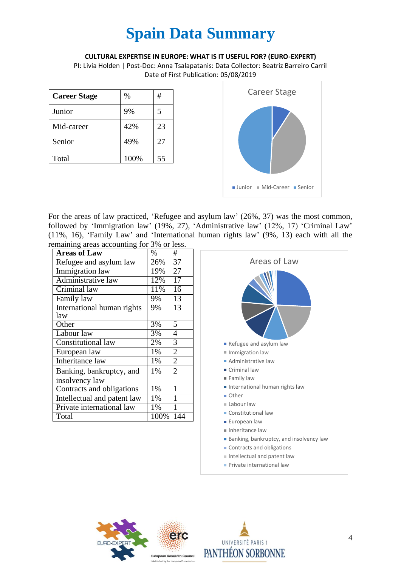#### **CULTURAL EXPERTISE IN EUROPE: WHAT IS IT USEFUL FOR? (EURO-EXPERT)**

PI: Livia Holden | Post-Doc: Anna Tsalapatanis: Data Collector: Beatriz Barreiro Carril Date of First Publication: 05/08/2019

| <b>Career Stage</b> | $\%$ | #  |
|---------------------|------|----|
| Junior              | 9%   | 5  |
| Mid-career          | 42%  | 23 |
| Senior              | 49%  | 27 |
| Total               | 100% | 55 |



For the areas of law practiced, 'Refugee and asylum law' (26%, 37) was the most common, followed by 'Immigration law' (19%, 27), 'Administrative law' (12%, 17) 'Criminal Law' (11%, 16), 'Family Law' and 'International human rights law' (9%, 13) each with all the remaining areas accounting for 3% or less.

| <b>Areas of Law</b>         | $\%$ | #              |
|-----------------------------|------|----------------|
| Refugee and asylum law      | 26%  | 37             |
| Immigration law             | 19%  | 27             |
| Administrative law          | 12%  | 17             |
| Criminal law                | 11%  | 16             |
| Family law                  | 9%   | 13             |
| International human rights  | 9%   | 13             |
| law                         |      |                |
| Other                       | 3%   | 5              |
| Labour law                  | 3%   | 4              |
| Constitutional law          | 2%   | $\overline{3}$ |
| European law                | 1%   | $\overline{2}$ |
| Inheritance law             | 1%   | $\overline{2}$ |
| Banking, bankruptcy, and    | 1%   | $\overline{2}$ |
| insolvency law              |      |                |
| Contracts and obligations   | 1%   | 1              |
| Intellectual and patent law | 1%   | 1              |
| Private international law   | 1%   | 1              |
| Total                       | 100% | 144            |





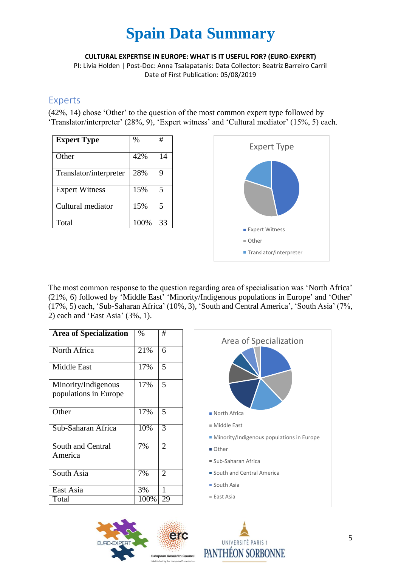**CULTURAL EXPERTISE IN EUROPE: WHAT IS IT USEFUL FOR? (EURO-EXPERT)**

PI: Livia Holden | Post-Doc: Anna Tsalapatanis: Data Collector: Beatriz Barreiro Carril Date of First Publication: 05/08/2019

### Experts

(42%, 14) chose 'Other' to the question of the most common expert type followed by 'Translator/interpreter' (28%, 9), 'Expert witness' and 'Cultural mediator' (15%, 5) each.

| <b>Expert Type</b>     | %    | #  |
|------------------------|------|----|
| Other                  | 42%  | 14 |
| Translator/interpreter | 28%  | 9  |
| <b>Expert Witness</b>  | 15%  | 5  |
| Cultural mediator      | 15%  | 5  |
| Total                  | 100% | 33 |



The most common response to the question regarding area of specialisation was 'North Africa' (21%, 6) followed by 'Middle East' 'Minority/Indigenous populations in Europe' and 'Other' (17%, 5) each, 'Sub-Saharan Africa' (10%, 3), 'South and Central America', 'South Asia' (7%, 2) each and 'East Asia' (3%, 1).

| <b>Area</b> of Specialization                | $\%$ | #              |
|----------------------------------------------|------|----------------|
| North Africa                                 | 21%  | 6              |
| <b>Middle East</b>                           | 17%  | 5              |
| Minority/Indigenous<br>populations in Europe | 17%  | 5              |
| Other                                        | 17%  | 5              |
| Sub-Saharan Africa                           | 10%  | 3              |
| South and Central<br>America                 | 7%   | $\mathfrak{D}$ |
| South Asia                                   | 7%   | $\mathfrak{D}$ |
| East Asia                                    | 3%   | 1              |
| Total                                        | 100% | 29             |





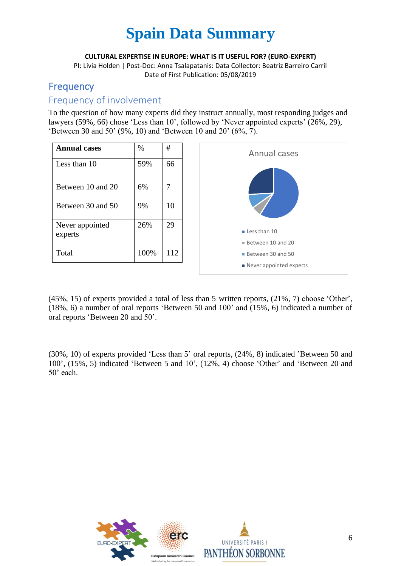**CULTURAL EXPERTISE IN EUROPE: WHAT IS IT USEFUL FOR? (EURO-EXPERT)**

PI: Livia Holden | Post-Doc: Anna Tsalapatanis: Data Collector: Beatriz Barreiro Carril Date of First Publication: 05/08/2019

## Frequency

### Frequency of involvement

To the question of how many experts did they instruct annually, most responding judges and lawyers (59%, 66) chose 'Less than 10', followed by 'Never appointed experts' (26%, 29), 'Between 30 and 50' (9%, 10) and 'Between 10 and 20' (6%, 7).



(45%, 15) of experts provided a total of less than 5 written reports, (21%, 7) choose 'Other', (18%, 6) a number of oral reports 'Between 50 and 100' and (15%, 6) indicated a number of oral reports 'Between 20 and 50'.

(30%, 10) of experts provided 'Less than 5' oral reports, (24%, 8) indicated 'Between 50 and 100', (15%, 5) indicated 'Between 5 and 10', (12%, 4) choose 'Other' and 'Between 20 and 50' each.

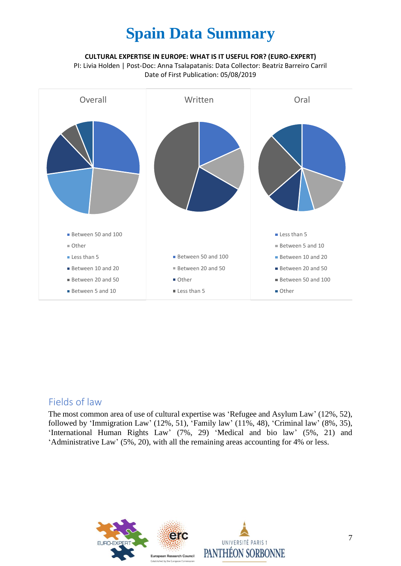#### **CULTURAL EXPERTISE IN EUROPE: WHAT IS IT USEFUL FOR? (EURO-EXPERT)**

PI: Livia Holden | Post-Doc: Anna Tsalapatanis: Data Collector: Beatriz Barreiro Carril Date of First Publication: 05/08/2019



### Fields of law

The most common area of use of cultural expertise was 'Refugee and Asylum Law' (12%, 52), followed by 'Immigration Law' (12%, 51), 'Family law' (11%, 48), 'Criminal law' (8%, 35), 'International Human Rights Law' (7%, 29) 'Medical and bio law' (5%, 21) and 'Administrative Law' (5%, 20), with all the remaining areas accounting for 4% or less.

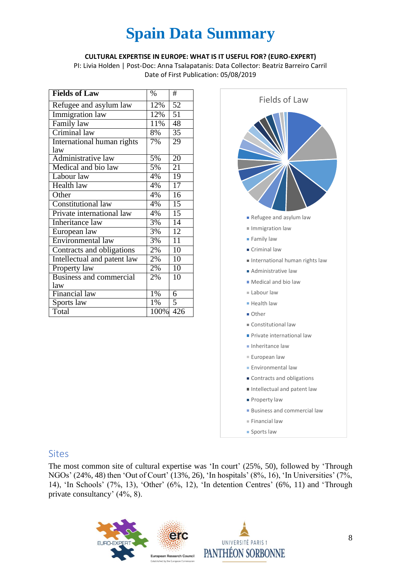#### **CULTURAL EXPERTISE IN EUROPE: WHAT IS IT USEFUL FOR? (EURO-EXPERT)**

PI: Livia Holden | Post-Doc: Anna Tsalapatanis: Data Collector: Beatriz Barreiro Carril Date of First Publication: 05/08/2019

| <b>Fields of Law</b>              | $\%$ | #               |
|-----------------------------------|------|-----------------|
| Refugee and asylum law            | 12%  | 52              |
| Immigration law                   | 12%  | $\overline{51}$ |
| Family law                        | 11%  | 48              |
| Criminal law                      | 8%   | 35              |
| <b>International human rights</b> | 7%   | 29              |
| law                               |      |                 |
| Administrative law                | 5%   | $\overline{20}$ |
| Medical and bio law               | 5%   | 21              |
| Labour law                        | 4%   | 19              |
| <b>Health law</b>                 | 4%   | $\overline{17}$ |
| Other                             | 4%   | $\overline{16}$ |
| <b>Constitutional law</b>         | 4%   | 15              |
| Private international law         | 4%   | $\overline{15}$ |
| <b>Inheritance</b> law            | 3%   | $\overline{14}$ |
| European law                      | 3%   | 12              |
| Environmental law                 | 3%   | $\overline{11}$ |
| Contracts and obligations         | 2%   | 10              |
| Intellectual and patent law       | 2%   | 10              |
| Property law                      | 2%   | $\overline{10}$ |
| <b>Business and commercial</b>    | 2%   | 10              |
| law                               |      |                 |
| Financial law                     | 1%   | 6               |
| Sports law                        | 1%   | 5               |
| Total                             | 100% | 426             |



#### Sites

The most common site of cultural expertise was 'In court' (25%, 50), followed by 'Through NGOs' (24%, 48) then 'Out of Court' (13%, 26), 'In hospitals' (8%, 16), 'In Universities' (7%, 14), 'In Schools' (7%, 13), 'Other' (6%, 12), 'In detention Centres' (6%, 11) and 'Through private consultancy' (4%, 8).

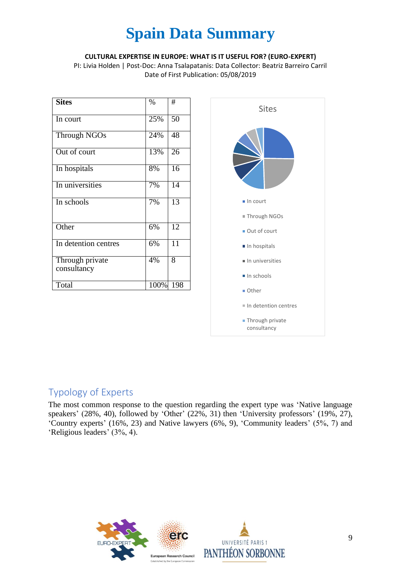#### **CULTURAL EXPERTISE IN EUROPE: WHAT IS IT USEFUL FOR? (EURO-EXPERT)**

PI: Livia Holden | Post-Doc: Anna Tsalapatanis: Data Collector: Beatriz Barreiro Carril Date of First Publication: 05/08/2019

| <b>Sites</b>                   | $\%$ | #               |
|--------------------------------|------|-----------------|
| In court                       | 25%  | $\overline{50}$ |
| <b>Through NGOs</b>            | 24%  | 48              |
| Out of court                   | 13%  | 26              |
| In hospitals                   | 8%   | 16              |
| In universities                | 7%   | 14              |
| In schools                     | 7%   | 13              |
| Other                          | 6%   | $\overline{12}$ |
| In detention centres           | 6%   | $1\overline{1}$ |
| Through private<br>consultancy | 4%   | 8               |
| Total                          | 100% | 198             |



## Typology of Experts

The most common response to the question regarding the expert type was 'Native language speakers' (28%, 40), followed by 'Other' (22%, 31) then 'University professors' (19%, 27), 'Country experts' (16%, 23) and Native lawyers (6%, 9), 'Community leaders' (5%, 7) and 'Religious leaders' (3%, 4).

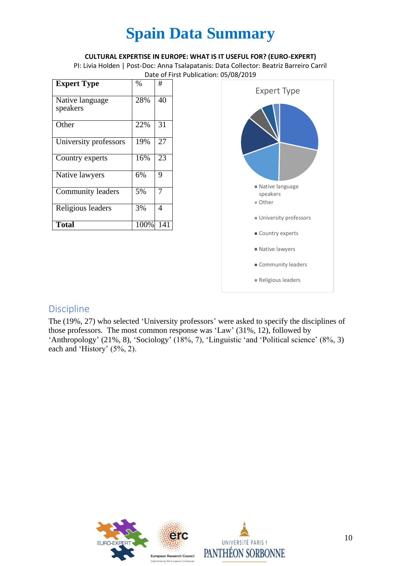#### **CULTURAL EXPERTISE IN EUROPE: WHAT IS IT USEFUL FOR? (EURO-EXPERT)**

PI: Livia Holden | Post-Doc: Anna Tsalapatanis: Data Collector: Beatriz Barreiro Carril Date of First Publication: 05/08/2019

| <b>Expert Type</b>          | $\%$ | #   |
|-----------------------------|------|-----|
| Native language<br>speakers | 28%  | 40  |
| Other                       | 22%  | 31  |
| University professors       | 19%  | 27  |
| Country experts             | 16%  | 23  |
| Native lawyers              | 6%   | 9   |
| <b>Community leaders</b>    | 5%   | 7   |
| Religious leaders           | 3%   | 4   |
| <b>Total</b>                | 100% | 141 |



### Discipline

The (19%, 27) who selected 'University professors' were asked to specify the disciplines of those professors. The most common response was 'Law' (31%, 12), followed by 'Anthropology' (21%, 8), 'Sociology' (18%, 7), 'Linguistic 'and 'Political science' (8%, 3) each and 'History' (5%, 2).

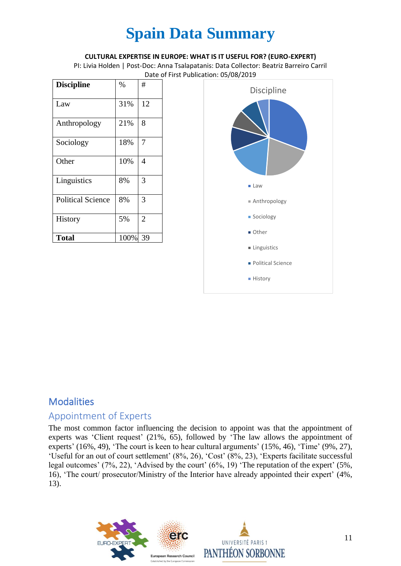#### **CULTURAL EXPERTISE IN EUROPE: WHAT IS IT USEFUL FOR? (EURO-EXPERT)**

PI: Livia Holden | Post-Doc: Anna Tsalapatanis: Data Collector: Beatriz Barreiro Carril Date of First Publication: 05/08/2019

| <b>Discipline</b>        | %    | #              |
|--------------------------|------|----------------|
| Law                      | 31%  | 12             |
| Anthropology             | 21%  | 8              |
| Sociology                | 18%  | 7              |
| Other                    | 10%  | 4              |
| Linguistics              | 8%   | 3              |
| <b>Political Science</b> | 8%   | 3              |
| History                  | 5%   | $\overline{2}$ |
| <b>Total</b>             | 100% | 39             |



## **Modalities**

### Appointment of Experts

The most common factor influencing the decision to appoint was that the appointment of experts was 'Client request' (21%, 65), followed by 'The law allows the appointment of experts' (16%, 49), 'The court is keen to hear cultural arguments' (15%, 46), 'Time' (9%, 27), 'Useful for an out of court settlement' (8%, 26), 'Cost' (8%, 23), 'Experts facilitate successful legal outcomes' (7%, 22), 'Advised by the court' (6%, 19) 'The reputation of the expert' (5%, 16), 'The court/ prosecutor/Ministry of the Interior have already appointed their expert' (4%, 13).

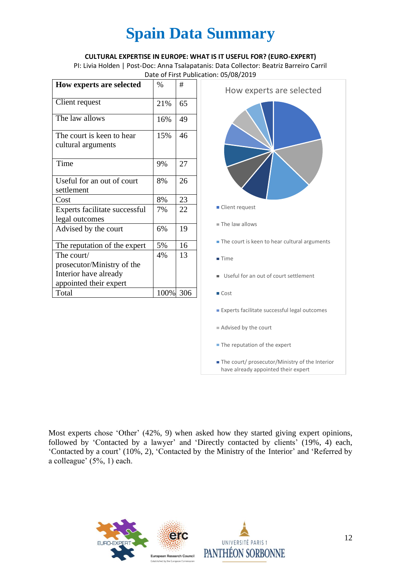#### **CULTURAL EXPERTISE IN EUROPE: WHAT IS IT USEFUL FOR? (EURO-EXPERT)**

PI: Livia Holden | Post-Doc: Anna Tsalapatanis: Data Collector: Beatriz Barreiro Carril Date of First Publication: 05/08/2019

| How experts are selected                        | $\%$ | #   |
|-------------------------------------------------|------|-----|
| Client request                                  | 21%  | 65  |
| The law allows                                  | 16%  | 49  |
| The court is keen to hear<br>cultural arguments | 15%  | 46  |
|                                                 |      |     |
| Time                                            | 9%   | 27  |
| Useful for an out of court                      | 8%   | 26  |
| settlement                                      |      |     |
| Cost                                            | 8%   | 23  |
| Experts facilitate successful                   | 7%   | 22  |
| legal outcomes                                  |      |     |
| Advised by the court                            | 6%   | 19  |
| The reputation of the expert                    | 5%   | 16  |
| The court/                                      | 4%   | 13  |
| prosecutor/Ministry of the                      |      |     |
| Interior have already                           |      |     |
| appointed their expert                          |      |     |
| Total                                           | 100% | 306 |



Most experts chose 'Other' (42%, 9) when asked how they started giving expert opinions, followed by 'Contacted by a lawyer' and 'Directly contacted by clients' (19%, 4) each, 'Contacted by a court' (10%, 2), 'Contacted by the Ministry of the Interior' and 'Referred by a colleague' (5%, 1) each.

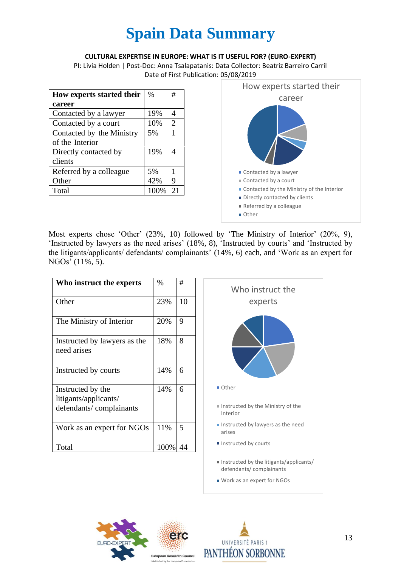#### **CULTURAL EXPERTISE IN EUROPE: WHAT IS IT USEFUL FOR? (EURO-EXPERT)**

PI: Livia Holden | Post-Doc: Anna Tsalapatanis: Data Collector: Beatriz Barreiro Carril Date of First Publication: 05/08/2019

| How experts started their | $\%$ | #  |
|---------------------------|------|----|
| career                    |      |    |
| Contacted by a lawyer     | 19%  | 4  |
| Contacted by a court      | 10%  | 2  |
| Contacted by the Ministry | 5%   | 1  |
| of the Interior           |      |    |
| Directly contacted by     | 19%  |    |
| clients                   |      |    |
| Referred by a colleague   | 5%   | 1  |
| Other                     | 42%  | 9  |
| Total                     | 100% | 21 |



Most experts chose 'Other' (23%, 10) followed by 'The Ministry of Interior' (20%, 9), 'Instructed by lawyers as the need arises' (18%, 8), 'Instructed by courts' and 'Instructed by the litigants/applicants/ defendants/ complainants' (14%, 6) each, and 'Work as an expert for NGOs' (11%, 5).

| Who instruct the experts                                              | $\%$ | #  |  |
|-----------------------------------------------------------------------|------|----|--|
| Other                                                                 | 23%  | 10 |  |
| The Ministry of Interior                                              | 20%  | 9  |  |
| Instructed by lawyers as the<br>need arises                           | 18%  | 8  |  |
| Instructed by courts                                                  | 14%  | 6  |  |
| Instructed by the<br>litigants/applicants/<br>defendants/complainants | 14%  | 6  |  |
| Work as an expert for NGOs                                            | 11%  | 5  |  |
| Total                                                                 | 100% | 44 |  |





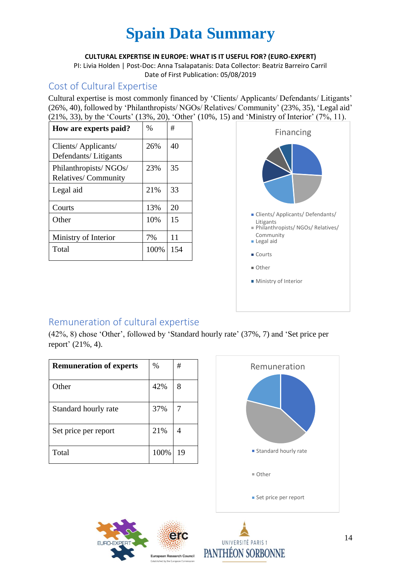#### **CULTURAL EXPERTISE IN EUROPE: WHAT IS IT USEFUL FOR? (EURO-EXPERT)**

PI: Livia Holden | Post-Doc: Anna Tsalapatanis: Data Collector: Beatriz Barreiro Carril Date of First Publication: 05/08/2019

### Cost of Cultural Expertise

Cultural expertise is most commonly financed by 'Clients/ Applicants/ Defendants/ Litigants' (26%, 40), followed by 'Philanthropists/ NGOs/ Relatives/ Community' (23%, 35), 'Legal aid' (21%, 33), by the 'Courts' (13%, 20), 'Other' (10%, 15) and 'Ministry of Interior' (7%, 11).

| How are experts paid?                               | $\%$ | #   |
|-----------------------------------------------------|------|-----|
| Clients/ Applicants/<br>Defendants/Litigants        | 26%  | 40  |
| Philanthropists/NGOs/<br><b>Relatives/Community</b> | 23%  | 35  |
| Legal aid                                           | 21%  | 33  |
| Courts                                              | 13%  | 20  |
| Other                                               | 10%  | 15  |
| Ministry of Interior                                | 7%   | 11  |
| Total                                               | 100% | 154 |



## Remuneration of cultural expertise

(42%, 8) chose 'Other', followed by 'Standard hourly rate' (37%, 7) and 'Set price per report' (21%, 4).

| <b>Remuneration of experts</b> | $\%$ | #  |
|--------------------------------|------|----|
| Other                          | 42%  | 8  |
| Standard hourly rate           | 37%  |    |
| Set price per report           | 21%  |    |
| Total                          | 100% | 19 |





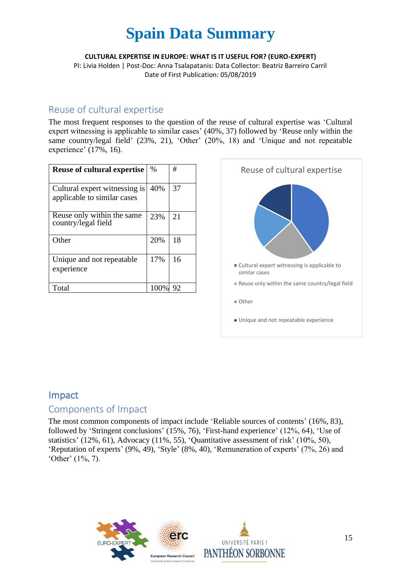**CULTURAL EXPERTISE IN EUROPE: WHAT IS IT USEFUL FOR? (EURO-EXPERT)**

PI: Livia Holden | Post-Doc: Anna Tsalapatanis: Data Collector: Beatriz Barreiro Carril Date of First Publication: 05/08/2019

### Reuse of cultural expertise

The most frequent responses to the question of the reuse of cultural expertise was 'Cultural expert witnessing is applicable to similar cases' (40%, 37) followed by 'Reuse only within the same country/legal field' (23%, 21), 'Other' (20%, 18) and 'Unique and not repeatable experience' (17%, 16).

| <b>Reuse of cultural expertise</b>                           | $\%$  | #  |
|--------------------------------------------------------------|-------|----|
| Cultural expert witnessing is<br>applicable to similar cases | 40%   | 37 |
| Reuse only within the same<br>country/legal field            | 23%   | 21 |
| Other                                                        | 20%   | 18 |
| Unique and not repeatable.<br>experience                     | 17%   | 16 |
| Total                                                        | 100\% | 92 |



### Impact

### Components of Impact

The most common components of impact include 'Reliable sources of contents' (16%, 83), followed by 'Stringent conclusions' (15%, 76), 'First-hand experience' (12%, 64), 'Use of statistics' (12%, 61), Advocacy (11%, 55), 'Quantitative assessment of risk' (10%, 50), 'Reputation of experts' (9%, 49), 'Style' (8%, 40), 'Remuneration of experts' (7%, 26) and 'Other' (1%, 7).

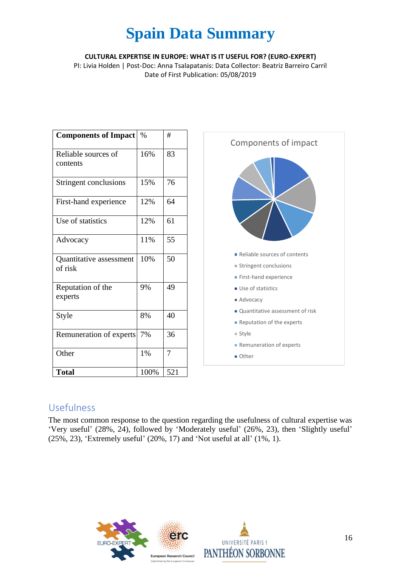**CULTURAL EXPERTISE IN EUROPE: WHAT IS IT USEFUL FOR? (EURO-EXPERT)**

PI: Livia Holden | Post-Doc: Anna Tsalapatanis: Data Collector: Beatriz Barreiro Carril Date of First Publication: 05/08/2019

| <b>Components of Impact</b>        | $\%$ | #   |
|------------------------------------|------|-----|
| Reliable sources of<br>contents    | 16%  | 83  |
| Stringent conclusions              | 15%  | 76  |
| First-hand experience              | 12%  | 64  |
| Use of statistics                  | 12%  | 61  |
| Advocacy                           | 11%  | 55  |
| Quantitative assessment<br>of risk | 10%  | 50  |
| Reputation of the<br>experts       | 9%   | 49  |
| Style                              | 8%   | 40  |
| Remuneration of experts            | 7%   | 36  |
| Other                              | 1%   | 7   |
| <b>Total</b>                       | 100% | 521 |



### Usefulness

The most common response to the question regarding the usefulness of cultural expertise was 'Very useful' (28%, 24), followed by 'Moderately useful' (26%, 23), then 'Slightly useful' (25%, 23), 'Extremely useful' (20%, 17) and 'Not useful at all' (1%, 1).

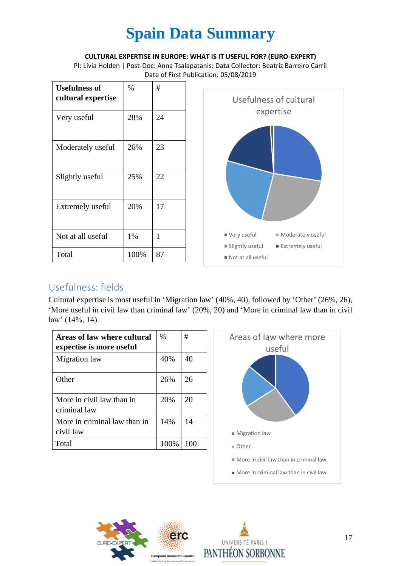**CULTURAL EXPERTISE IN EUROPE: WHAT IS IT USEFUL FOR? (EURO-EXPERT)**

PI: Livia Holden | Post-Doc: Anna Tsalapatanis: Data Collector: Beatriz Barreiro Carril Date of First Publication: 05/08/2019

| <b>Usefulness of</b><br>cultural expertise | $\%$ | #  |
|--------------------------------------------|------|----|
| Very useful                                | 28%  | 24 |
| Moderately useful                          | 26%  | 23 |
| Slightly useful                            | 25%  | 22 |
| <b>Extremely useful</b>                    | 20%  | 17 |
| Not at all useful                          | 1%   | 1  |
| Total                                      | 100% | 87 |



## Usefulness: fields

Cultural expertise is most useful in 'Migration law' (40%, 40), followed by 'Other' (26%, 26), 'More useful in civil law than criminal law' (20%, 20) and 'More in criminal law than in civil law' (14%, 14).

| Areas of law where cultural<br>expertise is more useful | $\%$ | #   |
|---------------------------------------------------------|------|-----|
| Migration law                                           | 40%  | 40  |
| Other                                                   | 26%  | 26  |
| More in civil law than in<br>criminal law               | 20%  | 20  |
| More in criminal law than in<br>civil law               | 14%  | 14  |
| Total                                                   | 100% | 100 |





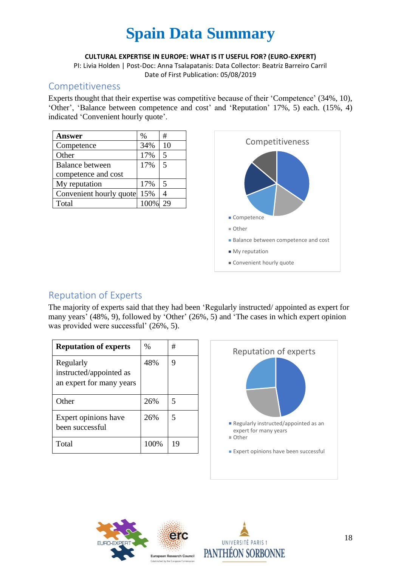#### **CULTURAL EXPERTISE IN EUROPE: WHAT IS IT USEFUL FOR? (EURO-EXPERT)**

PI: Livia Holden | Post-Doc: Anna Tsalapatanis: Data Collector: Beatriz Barreiro Carril Date of First Publication: 05/08/2019

### Competitiveness

Experts thought that their expertise was competitive because of their 'Competence' (34%, 10), 'Other', 'Balance between competence and cost' and 'Reputation' 17%, 5) each. (15%, 4) indicated 'Convenient hourly quote'.

| <b>Answer</b>           | %    | #                       |
|-------------------------|------|-------------------------|
| Competence              | 34%  | 10                      |
| Other                   | 17%  | $\overline{5}$          |
| <b>Balance between</b>  | 17%  | $\overline{5}$          |
| competence and cost     |      |                         |
| My reputation           | 17%  | $\overline{\mathbf{5}}$ |
| Convenient hourly quote | 15%  |                         |
| Total                   | 100% |                         |



## Reputation of Experts

The majority of experts said that they had been 'Regularly instructed/ appointed as expert for many years' (48%, 9), followed by 'Other' (26%, 5) and 'The cases in which expert opinion was provided were successful' (26%, 5).

| <b>Reputation of experts</b>                                     | $\%$ | #  |
|------------------------------------------------------------------|------|----|
| Regularly<br>instructed/appointed as<br>an expert for many years | 48%  | 9  |
| Other                                                            | 26%  | 5  |
| Expert opinions have<br>been successful                          | 26%  | 5  |
| Total                                                            | 100% | 19 |





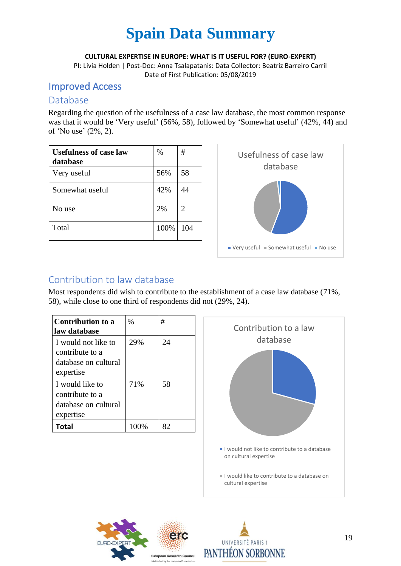**CULTURAL EXPERTISE IN EUROPE: WHAT IS IT USEFUL FOR? (EURO-EXPERT)**

PI: Livia Holden | Post-Doc: Anna Tsalapatanis: Data Collector: Beatriz Barreiro Carril Date of First Publication: 05/08/2019

### Improved Access

### Database

Regarding the question of the usefulness of a case law database, the most common response was that it would be 'Very useful' (56%, 58), followed by 'Somewhat useful' (42%, 44) and of 'No use' (2%, 2).

| <b>Usefulness of case law</b><br>database | $\%$ | #   |
|-------------------------------------------|------|-----|
| Very useful                               | 56%  | 58  |
| Somewhat useful                           | 42%  | 44  |
| No use                                    | 2%   | 2   |
| Total                                     | 100% | 104 |



## Contribution to law database

Most respondents did wish to contribute to the establishment of a case law database (71%, 58), while close to one third of respondents did not (29%, 24).

| Contribution to a<br>law database                                           | $\%$ | #  |
|-----------------------------------------------------------------------------|------|----|
| I would not like to<br>contribute to a<br>database on cultural<br>expertise | 29%  | 24 |
| I would like to<br>contribute to a<br>database on cultural<br>expertise     | 71%  | 58 |
| Total                                                                       | 100% | 82 |





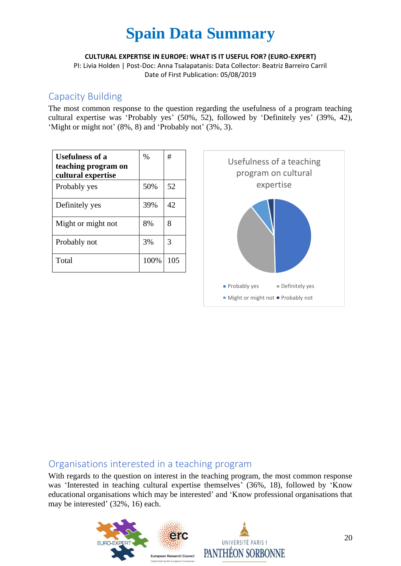**CULTURAL EXPERTISE IN EUROPE: WHAT IS IT USEFUL FOR? (EURO-EXPERT)**

PI: Livia Holden | Post-Doc: Anna Tsalapatanis: Data Collector: Beatriz Barreiro Carril Date of First Publication: 05/08/2019

### Capacity Building

The most common response to the question regarding the usefulness of a program teaching cultural expertise was 'Probably yes' (50%, 52), followed by 'Definitely yes' (39%, 42), 'Might or might not' (8%, 8) and 'Probably not' (3%, 3).

| <b>Usefulness of a</b><br>teaching program on<br>cultural expertise | $\%$ | #   |
|---------------------------------------------------------------------|------|-----|
| Probably yes                                                        | 50%  | 52  |
| Definitely yes                                                      | 39%  | 42  |
| Might or might not                                                  | 8%   | 8   |
| Probably not                                                        | 3%   | 3   |
| Total                                                               | 100% | 105 |



### Organisations interested in a teaching program

With regards to the question on interest in the teaching program, the most common response was 'Interested in teaching cultural expertise themselves' (36%, 18), followed by 'Know educational organisations which may be interested' and 'Know professional organisations that may be interested' (32%, 16) each.